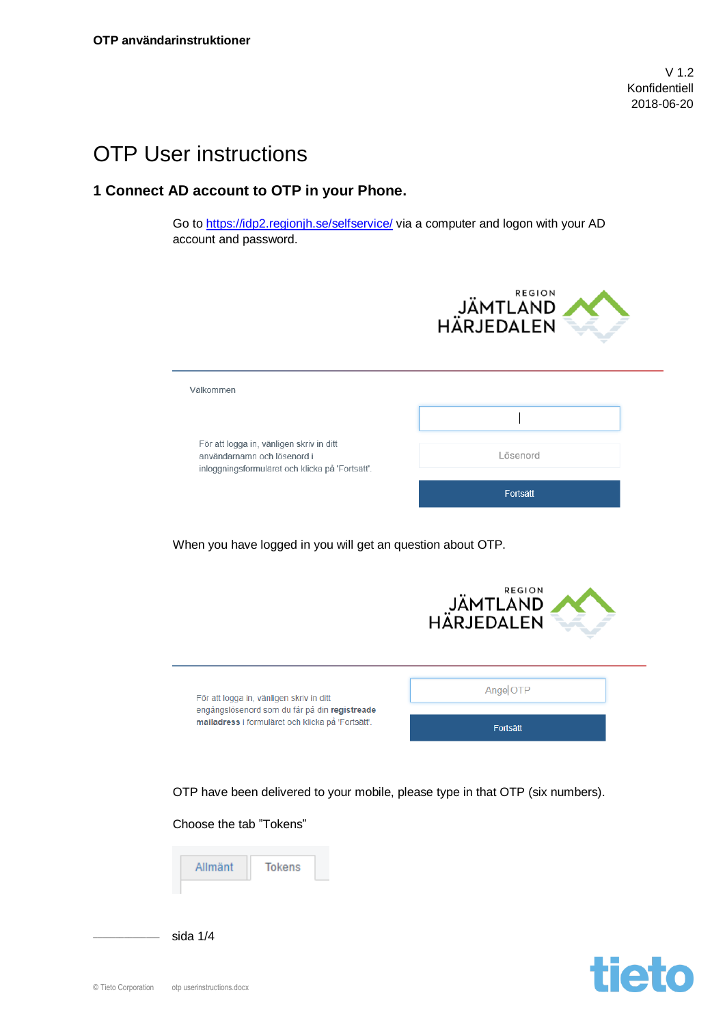V 1.2 Konfidentiell 2018-06-20

**tieto** 

## OTP User instructions

## **1 Connect AD account to OTP in your Phone.**

Go to<https://idp2.regionjh.se/selfservice/> via a computer and logon with your AD account and password.

| <b>REGION</b><br>JÄMTLAND<br>HÄRJEDALEN                                                                                                        |                             |  |  |  |  |
|------------------------------------------------------------------------------------------------------------------------------------------------|-----------------------------|--|--|--|--|
| Välkommen                                                                                                                                      |                             |  |  |  |  |
|                                                                                                                                                |                             |  |  |  |  |
| För att logga in, vänligen skriv in ditt<br>användarnamn och lösenord i<br>inloggningsformuläret och klicka på 'Fortsätt'.                     | Lösenord                    |  |  |  |  |
|                                                                                                                                                | Fortsätt                    |  |  |  |  |
| When you have logged in you will get an question about OTP.<br><b>REGION</b><br>JÄMTLÄND<br>HÄRJEDALEN                                         |                             |  |  |  |  |
| För att logga in, vänligen skriv in ditt<br>engångslösenord som du får på din registreade<br>mailadress i formuläret och klicka på 'Fortsätt'. | Ange OTP<br><b>Fortsätt</b> |  |  |  |  |
| OTP have been delivered to your mobile, please type in that OTP (six numbers).                                                                 |                             |  |  |  |  |
| Choose the tab "Tokens"                                                                                                                        |                             |  |  |  |  |
| Allmänt<br><b>Tokens</b>                                                                                                                       |                             |  |  |  |  |

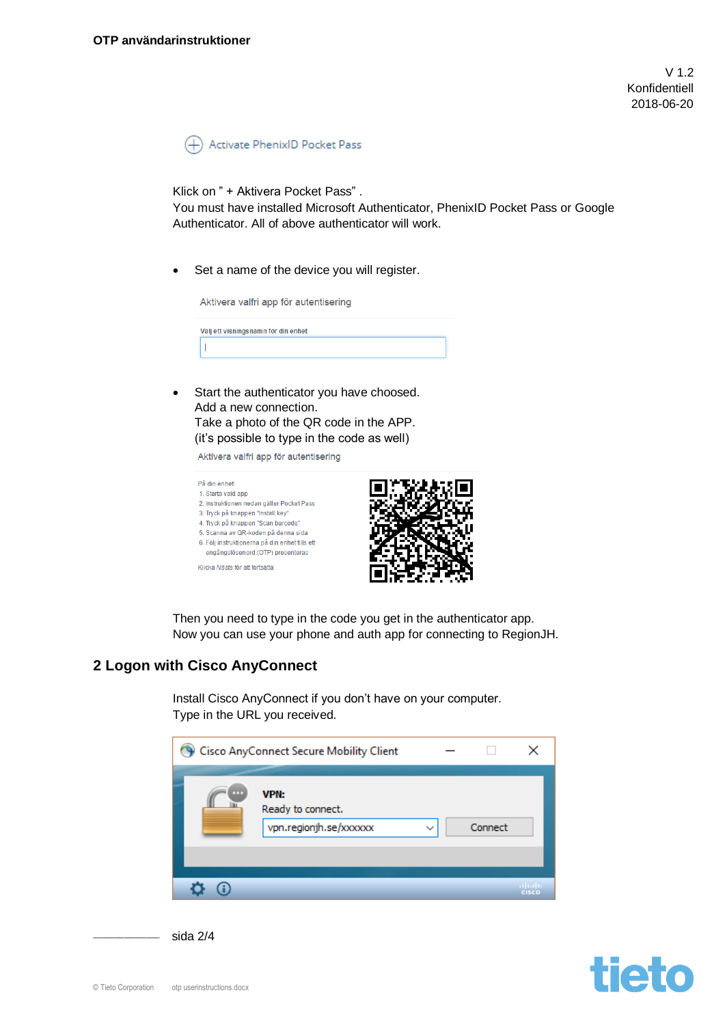V 1.2 Konfidentiell 2018-06-20

Activate PhenixID Pocket Pass  $^{(+)}$ 

Klick on " + Aktivera Pocket Pass" .

You must have installed Microsoft Authenticator, PhenixID Pocket Pass or Google Authenticator. All of above authenticator will work.

Set a name of the device you will register.

| Aktivera valfri app för autentisering |  |
|---------------------------------------|--|
| Väli ett visningsnamn för din enhet   |  |
|                                       |  |

Start the authenticator you have choosed. Add a new connection. Take a photo of the QR code in the APP. (it's possible to type in the code as well)

Aktivera valfri app för autentisering



Then you need to type in the code you get in the authenticator app. Now you can use your phone and auth app for connecting to RegionJH.

## **2 Logon with Cisco AnyConnect**

Install Cisco AnyConnect if you don't have on your computer. Type in the URL you received.



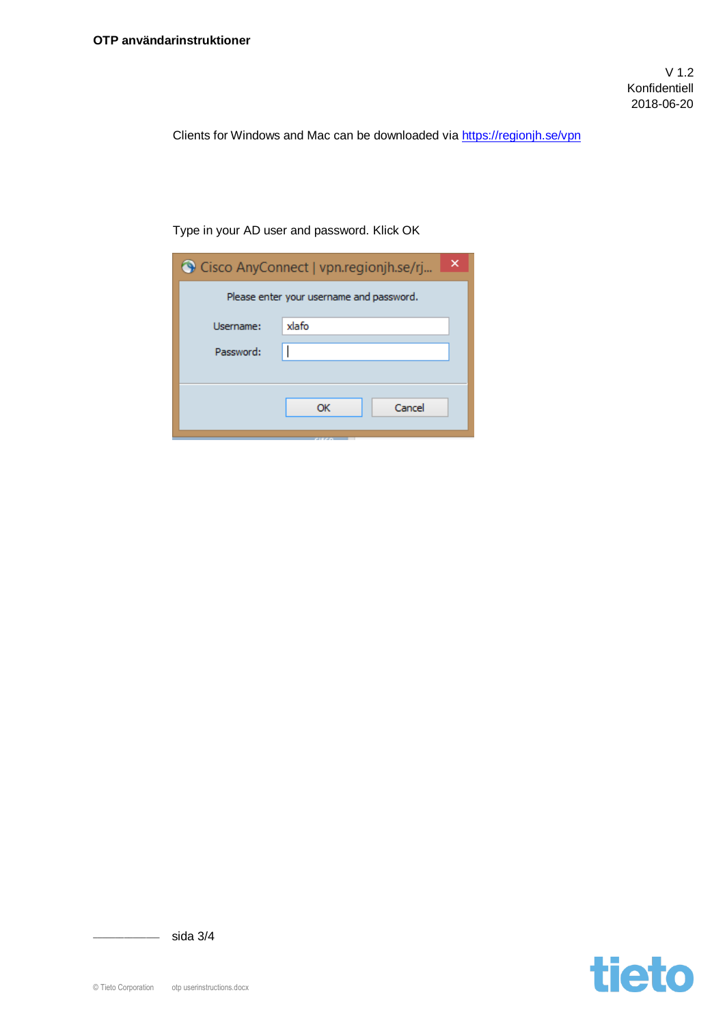Clients for Windows and Mac can be downloaded via<https://regionjh.se/vpn>

Type in your AD user and password. Klick OK

| Please enter your username and password.<br>xlafo<br>Username:<br>Password:<br>Cancel<br>ОК | Cisco AnyConnect   vpn.regionjh.se/rj |  |  |  |  |  |
|---------------------------------------------------------------------------------------------|---------------------------------------|--|--|--|--|--|
|                                                                                             |                                       |  |  |  |  |  |
|                                                                                             |                                       |  |  |  |  |  |
|                                                                                             |                                       |  |  |  |  |  |
|                                                                                             |                                       |  |  |  |  |  |
|                                                                                             |                                       |  |  |  |  |  |



 $\frac{1}{\sqrt{2}}$  sida 3/4